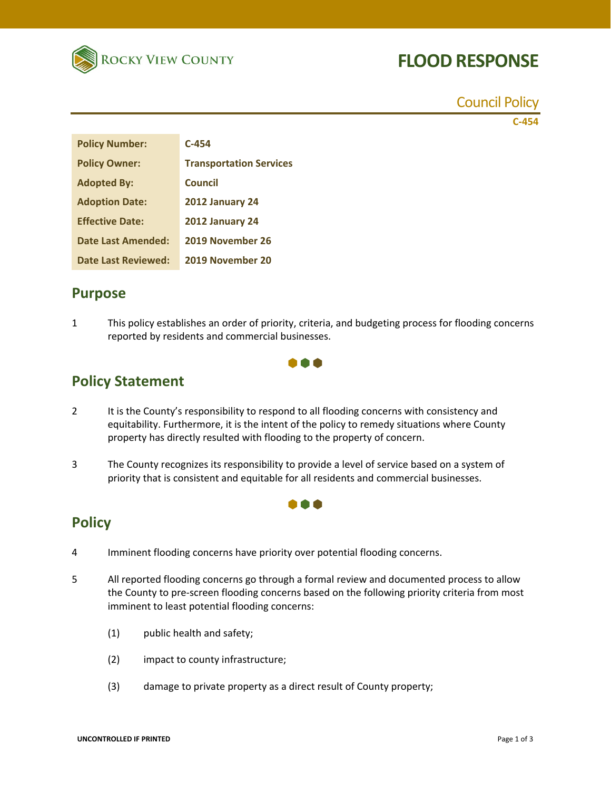

# **FLOOD RESPONSE**

Council Policy

**C‐454**

| <b>Policy Number:</b>     | $C-454$                        |
|---------------------------|--------------------------------|
| <b>Policy Owner:</b>      | <b>Transportation Services</b> |
| <b>Adopted By:</b>        | Council                        |
| <b>Adoption Date:</b>     | 2012 January 24                |
| <b>Effective Date:</b>    | 2012 January 24                |
| <b>Date Last Amended:</b> | 2019 November 26               |
| Date Last Reviewed:       | 2019 November 20               |

#### **Purpose**

1 This policy establishes an order of priority, criteria, and budgeting process for flooding concerns reported by residents and commercial businesses.



## **Policy Statement**

- 2 It is the County's responsibility to respond to all flooding concerns with consistency and equitability. Furthermore, it is the intent of the policy to remedy situations where County property has directly resulted with flooding to the property of concern.
- 3 The County recognizes its responsibility to provide a level of service based on a system of priority that is consistent and equitable for all residents and commercial businesses.

I A A

### **Policy**

- 4 Imminent flooding concerns have priority over potential flooding concerns.
- 5 All reported flooding concerns go through a formal review and documented process to allow the County to pre‐screen flooding concerns based on the following priority criteria from most imminent to least potential flooding concerns:
	- (1) public health and safety;
	- (2) impact to county infrastructure;
	- (3) damage to private property as a direct result of County property;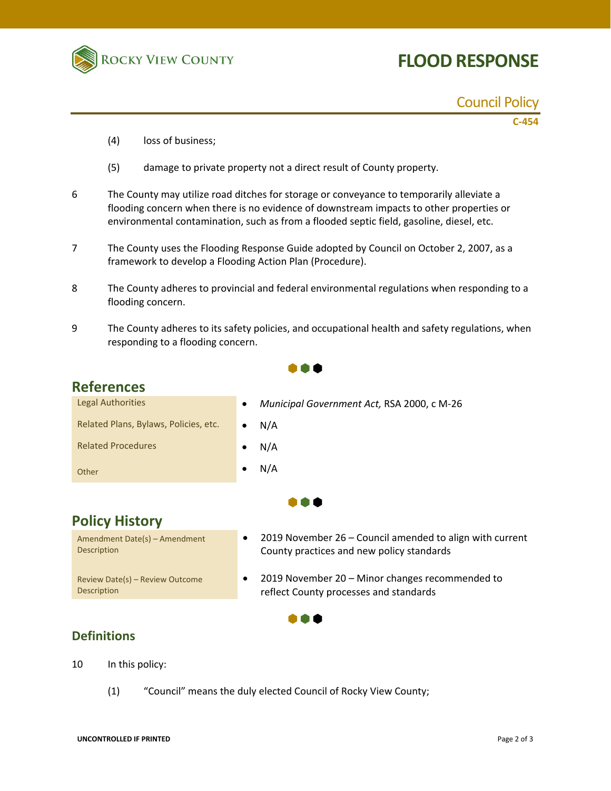

# **FLOOD RESPONSE**

#### Council Policy

**C‐454**

- (4) loss of business;
- (5) damage to private property not a direct result of County property.
- 6 The County may utilize road ditches for storage or conveyance to temporarily alleviate a flooding concern when there is no evidence of downstream impacts to other properties or environmental contamination, such as from a flooded septic field, gasoline, diesel, etc.
- 7 The County uses the Flooding Response Guide adopted by Council on October 2, 2007, as a framework to develop a Flooding Action Plan (Procedure).
- 8 The County adheres to provincial and federal environmental regulations when responding to a flooding concern.
- 9 The County adheres to its safety policies, and occupational health and safety regulations, when responding to a flooding concern.

1 O F

## **References**

| Legal Authorities                     | $\bullet$ | Municipal Government Act, RSA 2000, c M-26 |
|---------------------------------------|-----------|--------------------------------------------|
| Related Plans, Bylaws, Policies, etc. | $\bullet$ | N/A                                        |
| <b>Related Procedures</b>             |           | N/A                                        |
| Other                                 |           | N/A                                        |



. . .

## **Policy History**

Amendment Date(s) – Amendment Description Review Date(s) – Review Outcome **Description** 

- 2019 November 26 Council amended to align with current County practices and new policy standards
- 2019 November 20 Minor changes recommended to reflect County processes and standards

#### **Definitions**

- 10 In this policy:
	- (1) "Council" means the duly elected Council of Rocky View County;